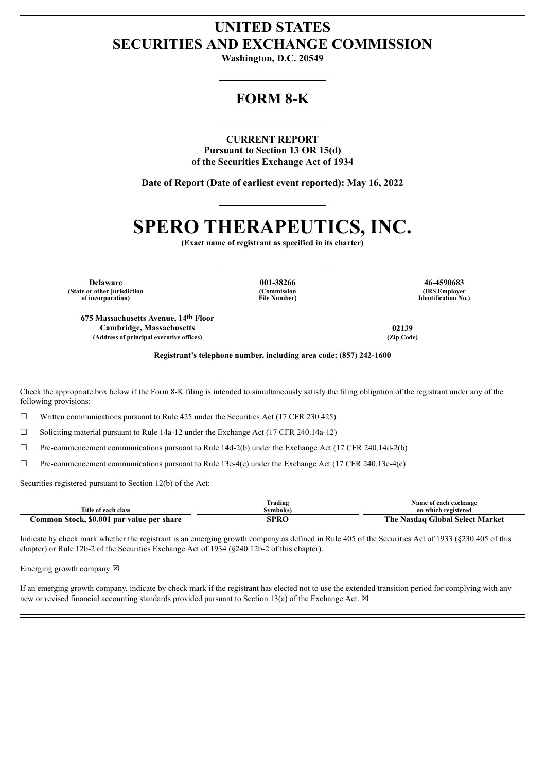# **UNITED STATES SECURITIES AND EXCHANGE COMMISSION**

**Washington, D.C. 20549**

# **FORM 8-K**

**CURRENT REPORT Pursuant to Section 13 OR 15(d) of the Securities Exchange Act of 1934**

**Date of Report (Date of earliest event reported): May 16, 2022**

# **SPERO THERAPEUTICS, INC.**

**(Exact name of registrant as specified in its charter)**

**Delaware 001-38266 46-4590683 (State or other jurisdiction of incorporation)**

**(Commission File Number)**

**(IRS Employer Identification No.)**

**675 Massachusetts Avenue, 14th Floor Cambridge, Massachusetts 02139**  $(A$ ddress of principal executive offices)

**Registrant's telephone number, including area code: (857) 242-1600**

Check the appropriate box below if the Form 8-K filing is intended to simultaneously satisfy the filing obligation of the registrant under any of the following provisions:

 $\Box$  Written communications pursuant to Rule 425 under the Securities Act (17 CFR 230.425)

 $\Box$  Soliciting material pursuant to Rule 14a-12 under the Exchange Act (17 CFR 240.14a-12)

 $\Box$  Pre-commencement communications pursuant to Rule 14d-2(b) under the Exchange Act (17 CFR 240.14d-2(b)

 $\Box$  Pre-commencement communications pursuant to Rule 13e-4(c) under the Exchange Act (17 CFR 240.13e-4(c)

Securities registered pursuant to Section 12(b) of the Act:

|                                           | m.<br>frading | Name of each exchange                       |
|-------------------------------------------|---------------|---------------------------------------------|
| Title of each class                       | Svmbol(s)     | on which registered                         |
| Common Stock, \$0.001 par value per share | SPRO          | The .<br><b>Nasdaq Global Select Market</b> |

Indicate by check mark whether the registrant is an emerging growth company as defined in Rule 405 of the Securities Act of 1933 (§230.405 of this chapter) or Rule 12b-2 of the Securities Exchange Act of 1934 (§240.12b-2 of this chapter).

Emerging growth company  $\boxtimes$ 

If an emerging growth company, indicate by check mark if the registrant has elected not to use the extended transition period for complying with any new or revised financial accounting standards provided pursuant to Section 13(a) of the Exchange Act.  $\boxtimes$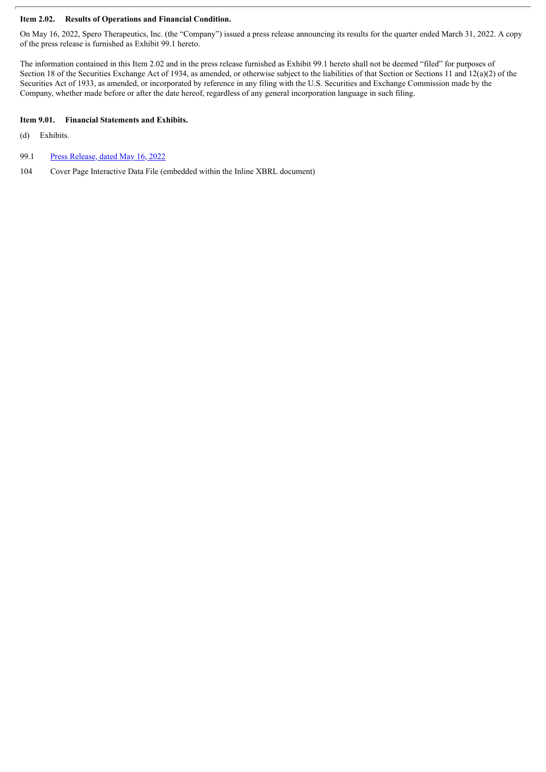## **Item 2.02. Results of Operations and Financial Condition.**

On May 16, 2022, Spero Therapeutics, Inc. (the "Company") issued a press release announcing its results for the quarter ended March 31, 2022. A copy of the press release is furnished as Exhibit 99.1 hereto.

The information contained in this Item 2.02 and in the press release furnished as Exhibit 99.1 hereto shall not be deemed "filed" for purposes of Section 18 of the Securities Exchange Act of 1934, as amended, or otherwise subject to the liabilities of that Section or Sections 11 and 12(a)(2) of the Securities Act of 1933, as amended, or incorporated by reference in any filing with the U.S. Securities and Exchange Commission made by the Company, whether made before or after the date hereof, regardless of any general incorporation language in such filing.

#### **Item 9.01. Financial Statements and Exhibits.**

- (d) Exhibits.
- 99.1 Press [Release,](#page-3-0) dated May 16, 2022
- 104 Cover Page Interactive Data File (embedded within the Inline XBRL document)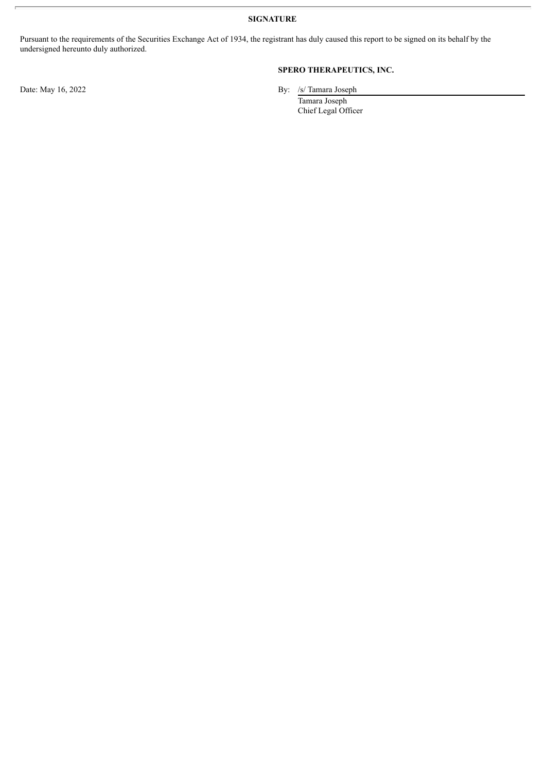**SIGNATURE**

Pursuant to the requirements of the Securities Exchange Act of 1934, the registrant has duly caused this report to be signed on its behalf by the undersigned hereunto duly authorized.

## **SPERO THERAPEUTICS, INC.**

Date: May 16, 2022 By: /s/ Tamara Joseph

Tamara Joseph Chief Legal Officer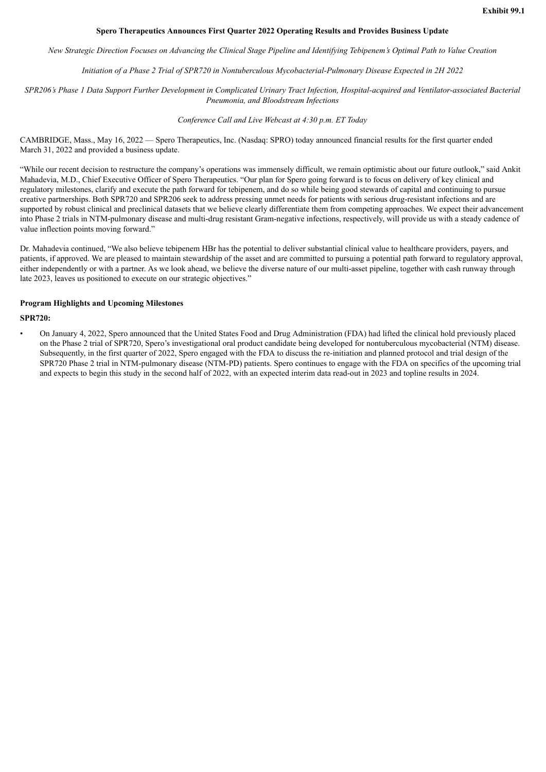#### **Spero Therapeutics Announces First Quarter 2022 Operating Results and Provides Business Update**

<span id="page-3-0"></span>New Strategic Direction Focuses on Advancing the Clinical Stage Pipeline and Identifying Tebipenem's Optimal Path to Value Creation

*Initiation of a Phase 2 Trial of SPR720 in Nontuberculous Mycobacterial-Pulmonary Disease Expected in 2H 2022*

SPR206's Phase 1 Data Support Further Development in Complicated Urinary Tract Infection. Hospital-acquired and Ventilator-associated Bacterial *Pneumonia, and Bloodstream Infections*

### *Conference Call and Live Webcast at 4:30 p.m. ET Today*

CAMBRIDGE, Mass., May 16, 2022 — Spero Therapeutics, Inc. (Nasdaq: SPRO) today announced financial results for the first quarter ended March 31, 2022 and provided a business update.

"While our recent decision to restructure the company's operations was immensely difficult, we remain optimistic about our future outlook," said Ankit Mahadevia, M.D., Chief Executive Officer of Spero Therapeutics. "Our plan for Spero going forward is to focus on delivery of key clinical and regulatory milestones, clarify and execute the path forward for tebipenem, and do so while being good stewards of capital and continuing to pursue creative partnerships. Both SPR720 and SPR206 seek to address pressing unmet needs for patients with serious drug-resistant infections and are supported by robust clinical and preclinical datasets that we believe clearly differentiate them from competing approaches. We expect their advancement into Phase 2 trials in NTM-pulmonary disease and multi-drug resistant Gram-negative infections, respectively, will provide us with a steady cadence of value inflection points moving forward."

Dr. Mahadevia continued, "We also believe tebipenem HBr has the potential to deliver substantial clinical value to healthcare providers, payers, and patients, if approved. We are pleased to maintain stewardship of the asset and are committed to pursuing a potential path forward to regulatory approval, either independently or with a partner. As we look ahead, we believe the diverse nature of our multi-asset pipeline, together with cash runway through late 2023, leaves us positioned to execute on our strategic objectives."

#### **Program Highlights and Upcoming Milestones**

#### **SPR720:**

• On January 4, 2022, Spero announced that the United States Food and Drug Administration (FDA) had lifted the clinical hold previously placed on the Phase 2 trial of SPR720, Spero's investigational oral product candidate being developed for nontuberculous mycobacterial (NTM) disease. Subsequently, in the first quarter of 2022, Spero engaged with the FDA to discuss the re-initiation and planned protocol and trial design of the SPR720 Phase 2 trial in NTM-pulmonary disease (NTM-PD) patients. Spero continues to engage with the FDA on specifics of the upcoming trial and expects to begin this study in the second half of 2022, with an expected interim data read-out in 2023 and topline results in 2024.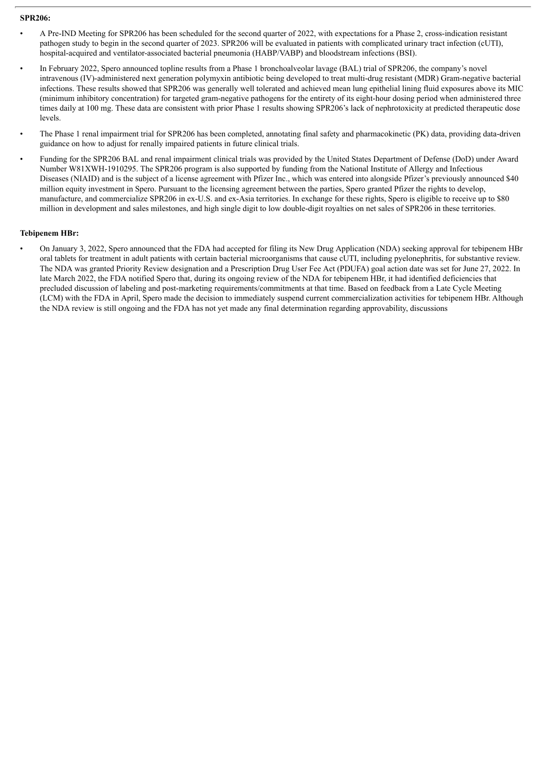#### **SPR206:**

- A Pre-IND Meeting for SPR206 has been scheduled for the second quarter of 2022, with expectations for a Phase 2, cross-indication resistant pathogen study to begin in the second quarter of 2023. SPR206 will be evaluated in patients with complicated urinary tract infection (cUTI), hospital-acquired and ventilator-associated bacterial pneumonia (HABP/VABP) and bloodstream infections (BSI).
- In February 2022, Spero announced topline results from a Phase 1 bronchoalveolar lavage (BAL) trial of SPR206, the company's novel intravenous (IV)-administered next generation polymyxin antibiotic being developed to treat multi-drug resistant (MDR) Gram-negative bacterial infections. These results showed that SPR206 was generally well tolerated and achieved mean lung epithelial lining fluid exposures above its MIC (minimum inhibitory concentration) for targeted gram-negative pathogens for the entirety of its eight-hour dosing period when administered three times daily at 100 mg. These data are consistent with prior Phase 1 results showing SPR206's lack of nephrotoxicity at predicted therapeutic dose levels.
- The Phase 1 renal impairment trial for SPR206 has been completed, annotating final safety and pharmacokinetic (PK) data, providing data-driven guidance on how to adjust for renally impaired patients in future clinical trials.
- Funding for the SPR206 BAL and renal impairment clinical trials was provided by the United States Department of Defense (DoD) under Award Number W81XWH-1910295. The SPR206 program is also supported by funding from the National Institute of Allergy and Infectious Diseases (NIAID) and is the subject of a license agreement with Pfizer Inc., which was entered into alongside Pfizer's previously announced \$40 million equity investment in Spero. Pursuant to the licensing agreement between the parties, Spero granted Pfizer the rights to develop, manufacture, and commercialize SPR206 in ex-U.S. and ex-Asia territories. In exchange for these rights, Spero is eligible to receive up to \$80 million in development and sales milestones, and high single digit to low double-digit royalties on net sales of SPR206 in these territories.

#### **Tebipenem HBr:**

• On January 3, 2022, Spero announced that the FDA had accepted for filing its New Drug Application (NDA) seeking approval for tebipenem HBr oral tablets for treatment in adult patients with certain bacterial microorganisms that cause cUTI, including pyelonephritis, for substantive review. The NDA was granted Priority Review designation and a Prescription Drug User Fee Act (PDUFA) goal action date was set for June 27, 2022. In late March 2022, the FDA notified Spero that, during its ongoing review of the NDA for tebipenem HBr, it had identified deficiencies that precluded discussion of labeling and post-marketing requirements/commitments at that time. Based on feedback from a Late Cycle Meeting (LCM) with the FDA in April, Spero made the decision to immediately suspend current commercialization activities for tebipenem HBr. Although the NDA review is still ongoing and the FDA has not yet made any final determination regarding approvability, discussions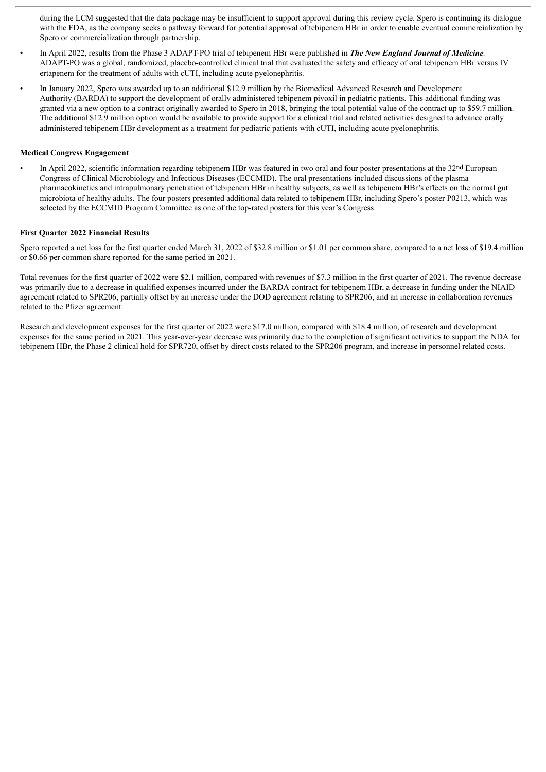during the LCM suggested that the data package may be insufficient to support approval during this review cycle. Spero is continuing its dialogue with the FDA, as the company seeks a pathway forward for potential approval of tebipenem HBr in order to enable eventual commercialization by Spero or commercialization through partnership.

- In April 2022, results from the Phase 3 ADAPT-PO trial of tebipenem HBr were published in *The New England Journal of Medicine.* ADAPT-PO was a global, randomized, placebo-controlled clinical trial that evaluated the safety and efficacy of oral tebipenem HBr versus IV ertapenem for the treatment of adults with cUTI, including acute pyelonephritis.
- In January 2022, Spero was awarded up to an additional \$12.9 million by the Biomedical Advanced Research and Development Authority (BARDA) to support the development of orally administered tebipenem pivoxil in pediatric patients. This additional funding was granted via a new option to a contract originally awarded to Spero in 2018, bringing the total potential value of the contract up to \$59.7 million. The additional \$12.9 million option would be available to provide support for a clinical trial and related activities designed to advance orally administered tebipenem HBr development as a treatment for pediatric patients with cUTI, including acute pyelonephritis.

#### **Medical Congress Engagement**

In April 2022, scientific information regarding tebipenem HBr was featured in two oral and four poster presentations at the 32<sup>nd</sup> European Congress of Clinical Microbiology and Infectious Diseases (ECCMID). The oral presentations included discussions of the plasma pharmacokinetics and intrapulmonary penetration of tebipenem HBr in healthy subjects, as well as tebipenem HBr's effects on the normal gut microbiota of healthy adults. The four posters presented additional data related to tebipenem HBr, including Spero's poster P0213, which was selected by the ECCMID Program Committee as one of the top-rated posters for this year's Congress.

#### **First Quarter 2022 Financial Results**

Spero reported a net loss for the first quarter ended March 31, 2022 of \$32.8 million or \$1.01 per common share, compared to a net loss of \$19.4 million or \$0.66 per common share reported for the same period in 2021.

Total revenues for the first quarter of 2022 were \$2.1 million, compared with revenues of \$7.3 million in the first quarter of 2021. The revenue decrease was primarily due to a decrease in qualified expenses incurred under the BARDA contract for tebipenem HBr, a decrease in funding under the NIAID agreement related to SPR206, partially offset by an increase under the DOD agreement relating to SPR206, and an increase in collaboration revenues related to the Pfizer agreement.

Research and development expenses for the first quarter of 2022 were \$17.0 million, compared with \$18.4 million, of research and development expenses for the same period in 2021. This year-over-year decrease was primarily due to the completion of significant activities to support the NDA for tebipenem HBr, the Phase 2 clinical hold for SPR720, offset by direct costs related to the SPR206 program, and increase in personnel related costs.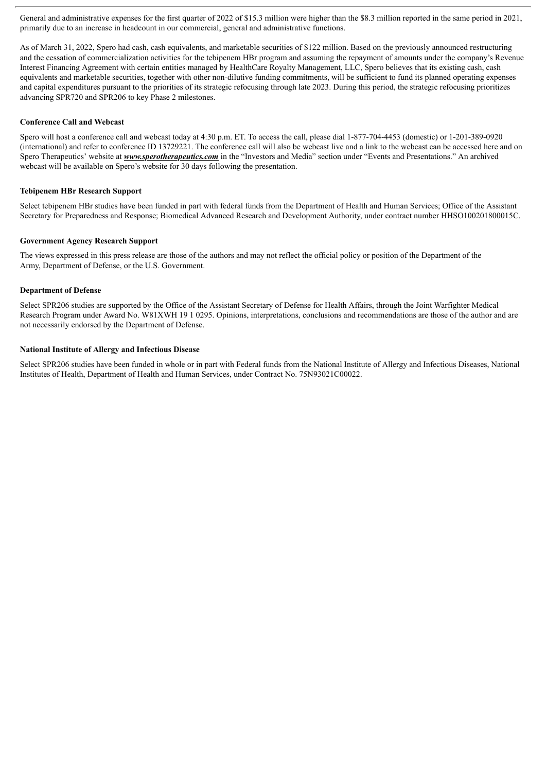General and administrative expenses for the first quarter of 2022 of \$15.3 million were higher than the \$8.3 million reported in the same period in 2021, primarily due to an increase in headcount in our commercial, general and administrative functions.

As of March 31, 2022, Spero had cash, cash equivalents, and marketable securities of \$122 million. Based on the previously announced restructuring and the cessation of commercialization activities for the tebipenem HBr program and assuming the repayment of amounts under the company's Revenue Interest Financing Agreement with certain entities managed by HealthCare Royalty Management, LLC, Spero believes that its existing cash, cash equivalents and marketable securities, together with other non-dilutive funding commitments, will be sufficient to fund its planned operating expenses and capital expenditures pursuant to the priorities of its strategic refocusing through late 2023. During this period, the strategic refocusing prioritizes advancing SPR720 and SPR206 to key Phase 2 milestones.

#### **Conference Call and Webcast**

Spero will host a conference call and webcast today at 4:30 p.m. ET. To access the call, please dial 1-877-704-4453 (domestic) or 1-201-389-0920 (international) and refer to conference ID 13729221. The conference call will also be webcast live and a link to the webcast can be accessed here and on Spero Therapeutics' website at *www.sperotherapeutics.com* in the "Investors and Media" section under "Events and Presentations." An archived webcast will be available on Spero's website for 30 days following the presentation.

#### **Tebipenem HBr Research Support**

Select tebipenem HBr studies have been funded in part with federal funds from the Department of Health and Human Services; Office of the Assistant Secretary for Preparedness and Response; Biomedical Advanced Research and Development Authority, under contract number HHSO100201800015C.

#### **Government Agency Research Support**

The views expressed in this press release are those of the authors and may not reflect the official policy or position of the Department of the Army, Department of Defense, or the U.S. Government.

#### **Department of Defense**

Select SPR206 studies are supported by the Office of the Assistant Secretary of Defense for Health Affairs, through the Joint Warfighter Medical Research Program under Award No. W81XWH 19 1 0295. Opinions, interpretations, conclusions and recommendations are those of the author and are not necessarily endorsed by the Department of Defense.

#### **National Institute of Allergy and Infectious Disease**

Select SPR206 studies have been funded in whole or in part with Federal funds from the National Institute of Allergy and Infectious Diseases, National Institutes of Health, Department of Health and Human Services, under Contract No. 75N93021C00022.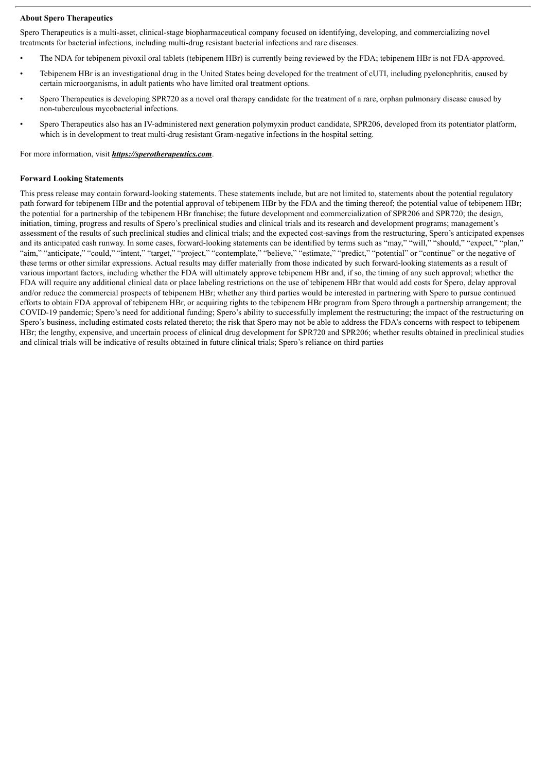#### **About Spero Therapeutics**

Spero Therapeutics is a multi-asset, clinical-stage biopharmaceutical company focused on identifying, developing, and commercializing novel treatments for bacterial infections, including multi-drug resistant bacterial infections and rare diseases.

- The NDA for tebipenem pivoxil oral tablets (tebipenem HBr) is currently being reviewed by the FDA; tebipenem HBr is not FDA-approved.
- Tebipenem HBr is an investigational drug in the United States being developed for the treatment of cUTI, including pyelonephritis, caused by certain microorganisms, in adult patients who have limited oral treatment options.
- Spero Therapeutics is developing SPR720 as a novel oral therapy candidate for the treatment of a rare, orphan pulmonary disease caused by non-tuberculous mycobacterial infections.
- Spero Therapeutics also has an IV-administered next generation polymyxin product candidate, SPR206, developed from its potentiator platform, which is in development to treat multi-drug resistant Gram-negative infections in the hospital setting.

For more information, visit *https://sperotherapeutics.com*.

#### **Forward Looking Statements**

This press release may contain forward-looking statements. These statements include, but are not limited to, statements about the potential regulatory path forward for tebipenem HBr and the potential approval of tebipenem HBr by the FDA and the timing thereof; the potential value of tebipenem HBr; the potential for a partnership of the tebipenem HBr franchise; the future development and commercialization of SPR206 and SPR720; the design, initiation, timing, progress and results of Spero's preclinical studies and clinical trials and its research and development programs; management's assessment of the results of such preclinical studies and clinical trials; and the expected cost-savings from the restructuring, Spero's anticipated expenses and its anticipated cash runway. In some cases, forward-looking statements can be identified by terms such as "may," "will," "should," "expect," "plan," "aim," "anticipate," "could," "intent," "target," "project," "contemplate," "believe," "estimate," "predict," "potential" or "continue" or the negative of these terms or other similar expressions. Actual results may differ materially from those indicated by such forward-looking statements as a result of various important factors, including whether the FDA will ultimately approve tebipenem HBr and, if so, the timing of any such approval; whether the FDA will require any additional clinical data or place labeling restrictions on the use of tebipenem HBr that would add costs for Spero, delay approval and/or reduce the commercial prospects of tebipenem HBr; whether any third parties would be interested in partnering with Spero to pursue continued efforts to obtain FDA approval of tebipenem HBr, or acquiring rights to the tebipenem HBr program from Spero through a partnership arrangement; the COVID-19 pandemic; Spero's need for additional funding; Spero's ability to successfully implement the restructuring; the impact of the restructuring on Spero's business, including estimated costs related thereto; the risk that Spero may not be able to address the FDA's concerns with respect to tebipenem HBr; the lengthy, expensive, and uncertain process of clinical drug development for SPR720 and SPR206; whether results obtained in preclinical studies and clinical trials will be indicative of results obtained in future clinical trials; Spero's reliance on third parties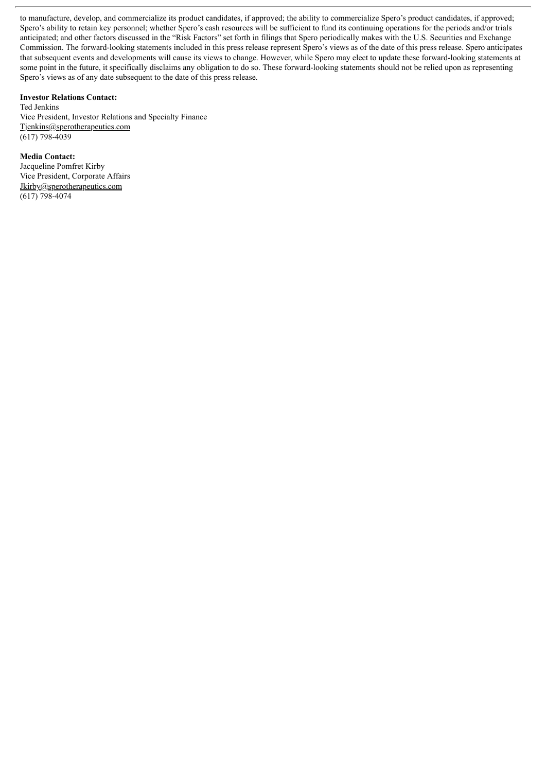to manufacture, develop, and commercialize its product candidates, if approved; the ability to commercialize Spero's product candidates, if approved; Spero's ability to retain key personnel; whether Spero's cash resources will be sufficient to fund its continuing operations for the periods and/or trials anticipated; and other factors discussed in the "Risk Factors" set forth in filings that Spero periodically makes with the U.S. Securities and Exchange Commission. The forward-looking statements included in this press release represent Spero's views as of the date of this press release. Spero anticipates that subsequent events and developments will cause its views to change. However, while Spero may elect to update these forward-looking statements at some point in the future, it specifically disclaims any obligation to do so. These forward-looking statements should not be relied upon as representing Spero's views as of any date subsequent to the date of this press release.

#### **Investor Relations Contact:**

Ted Jenkins Vice President, Investor Relations and Specialty Finance Tjenkins@sperotherapeutics.com (617) 798-4039

**Media Contact:** Jacqueline Pomfret Kirby Vice President, Corporate Affairs Jkirby@sperotherapeutics.com  $(617) 798-4074$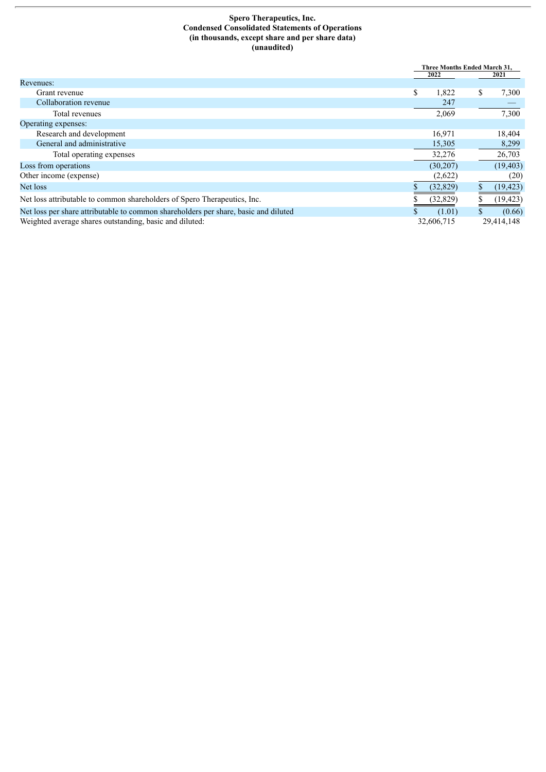#### **Spero Therapeutics, Inc. Condensed Consolidated Statements of Operations (in thousands, except share and per share data) (unaudited)**

|                                                                                     | Three Months Ended March 31. |    |            |
|-------------------------------------------------------------------------------------|------------------------------|----|------------|
|                                                                                     | 2022                         |    | 2021       |
| Revenues:                                                                           |                              |    |            |
| Grant revenue                                                                       | \$<br>1,822                  | \$ | 7,300      |
| Collaboration revenue                                                               | 247                          |    |            |
| Total revenues                                                                      | 2,069                        |    | 7,300      |
| Operating expenses:                                                                 |                              |    |            |
| Research and development                                                            | 16.971                       |    | 18,404     |
| General and administrative                                                          | 15,305                       |    | 8,299      |
| Total operating expenses                                                            | 32,276                       |    | 26,703     |
| Loss from operations                                                                | (30, 207)                    |    | (19, 403)  |
| Other income (expense)                                                              | (2,622)                      |    | (20)       |
| Net loss                                                                            | (32, 829)                    | S  | (19, 423)  |
| Net loss attributable to common shareholders of Spero Therapeutics, Inc.            | (32, 829)                    |    | (19, 423)  |
| Net loss per share attributable to common shareholders per share, basic and diluted | (1.01)                       |    | (0.66)     |
| Weighted average shares outstanding, basic and diluted:                             | 32,606,715                   |    | 29,414,148 |